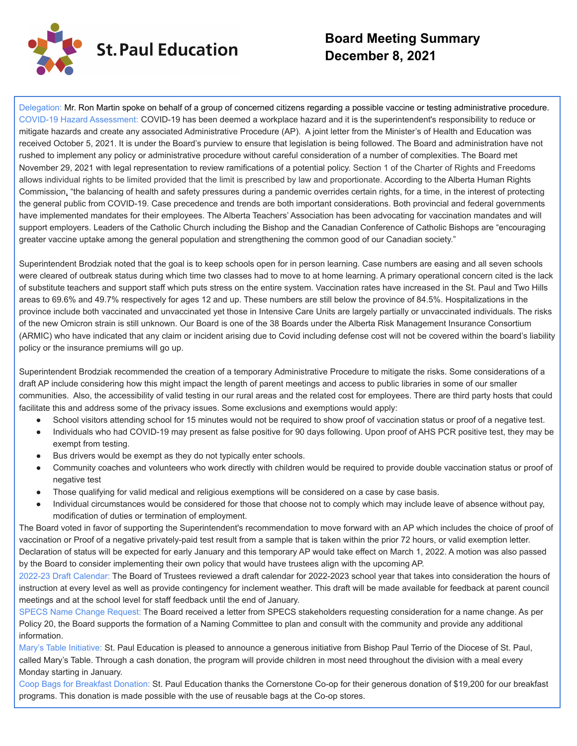

# **Board Meeting Summary December 8, 2021**

Delegation: Mr. Ron Martin spoke on behalf of a group of concerned citizens regarding a possible vaccine or testing administrative procedure. COVID-19 Hazard Assessment: COVID-19 has been deemed a workplace hazard and it is the superintendent's responsibility to reduce or mitigate hazards and create any associated Administrative Procedure (AP). A joint letter from the Minister's of Health and Education was received October 5, 2021. It is under the Board's purview to ensure that legislation is being followed. The Board and administration have not rushed to implement any policy or administrative procedure without careful consideration of a number of complexities. The Board met November 29, 2021 with legal representation to review ramifications of a potential policy. Section 1 of the Charter of Rights and Freedoms allows individual rights to be limited provided that the limit is prescribed by law and proportionate. According to the Alberta Human Rights Commission, "the balancing of health and safety pressures during a pandemic overrides certain rights, for a time, in the interest of protecting the general public from COVID-19. Case precedence and trends are both important considerations. Both provincial and federal governments have implemented mandates for their employees. The Alberta Teachers' Association has been advocating for vaccination mandates and will support employers. Leaders of the Catholic Church including the Bishop and the Canadian Conference of Catholic Bishops are "encouraging greater vaccine uptake among the general population and strengthening the common good of our Canadian society."

Superintendent Brodziak noted that the goal is to keep schools open for in person learning. Case numbers are easing and all seven schools were cleared of outbreak status during which time two classes had to move to at home learning. A primary operational concern cited is the lack of substitute teachers and support staff which puts stress on the entire system. Vaccination rates have increased in the St. Paul and Two Hills areas to 69.6% and 49.7% respectively for ages 12 and up. These numbers are still below the province of 84.5%. Hospitalizations in the province include both vaccinated and unvaccinated yet those in Intensive Care Units are largely partially or unvaccinated individuals. The risks of the new Omicron strain is still unknown. Our Board is one of the 38 Boards under the Alberta Risk Management Insurance Consortium (ARMIC) who have indicated that any claim or incident arising due to Covid including defense cost will not be covered within the board's liability policy or the insurance premiums will go up.

Superintendent Brodziak recommended the creation of a temporary Administrative Procedure to mitigate the risks. Some considerations of a draft AP include considering how this might impact the length of parent meetings and access to public libraries in some of our smaller communities. Also, the accessibility of valid testing in our rural areas and the related cost for employees. There are third party hosts that could facilitate this and address some of the privacy issues. Some exclusions and exemptions would apply:

- School visitors attending school for 15 minutes would not be required to show proof of vaccination status or proof of a negative test.
- Individuals who had COVID-19 may present as false positive for 90 days following. Upon proof of AHS PCR positive test, they may be exempt from testing.
- Bus drivers would be exempt as they do not typically enter schools.
- Community coaches and volunteers who work directly with children would be required to provide double vaccination status or proof of negative test
- Those qualifying for valid medical and religious exemptions will be considered on a case by case basis.
- Individual circumstances would be considered for those that choose not to comply which may include leave of absence without pay, modification of duties or termination of employment.

The Board voted in favor of supporting the Superintendent's recommendation to move forward with an AP which includes the choice of proof of vaccination or Proof of a negative privately-paid test result from a sample that is taken within the prior 72 hours, or valid exemption letter. Declaration of status will be expected for early January and this temporary AP would take effect on March 1, 2022. A motion was also passed by the Board to consider implementing their own policy that would have trustees align with the upcoming AP.

2022-23 Draft Calendar: The Board of Trustees reviewed a draft calendar for 2022-2023 school year that takes into consideration the hours of instruction at every level as well as provide contingency for inclement weather. This draft will be made available for feedback at parent council meetings and at the school level for staff feedback until the end of January.

SPECS Name Change Request: The Board received a letter from SPECS stakeholders requesting consideration for a name change. As per Policy 20, the Board supports the formation of a Naming Committee to plan and consult with the community and provide any additional information.

Mary's Table Initiative: St. Paul Education is pleased to announce a generous initiative from Bishop Paul Terrio of the Diocese of St. Paul, called Mary's Table. Through a cash donation, the program will provide children in most need throughout the division with a meal every Monday starting in January.

Coop Bags for Breakfast Donation: St. Paul Education thanks the Cornerstone Co-op for their generous donation of \$19,200 for our breakfast programs. This donation is made possible with the use of reusable bags at the Co-op stores.